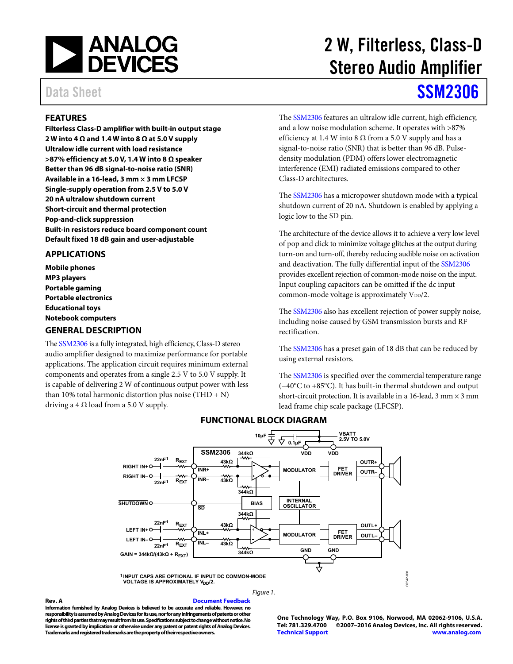

# 2 W, Filterless, Class-D Stereo Audio Amplifier

# Data Sheet **[SSM2306](http://www.analog.com/ssm2306?doc=ssm2306.pdf)**

## <span id="page-0-0"></span>**FEATURES**

**Filterless Class-D amplifier with built-in output stage 2 W into 4 Ω and 1.4 W into 8 Ω at 5.0 V supply Ultralow idle current with load resistance >87% efficiency at 5.0 V, 1.4 W into 8 Ω speaker Better than 96 dB signal-to-noise ratio (SNR) Available in a 16-lead, 3 mm × 3 mm LFCSP Single-supply operation from 2.5 V to 5.0 V 20 nA ultralow shutdown current Short-circuit and thermal protection Pop-and-click suppression Built-in resistors reduce board component count Default fixed 18 dB gain and user-adjustable** 

### <span id="page-0-1"></span>**APPLICATIONS**

**Mobile phones MP3 players Portable gaming Portable electronics Educational toys Notebook computers** 

#### <span id="page-0-2"></span>**GENERAL DESCRIPTION**

Th[e SSM2306 i](http://www.analog.com/ssm2306?doc=ssm2306.pdf)s a fully integrated, high efficiency, Class-D stereo audio amplifier designed to maximize performance for portable applications. The application circuit requires minimum external components and operates from a single 2.5 V to 5.0 V supply. It is capable of delivering 2 W of continuous output power with less than 10% total harmonic distortion plus noise (THD + N) driving a 4  $\Omega$  load from a 5.0 V supply.

The [SSM2306 f](http://www.analog.com/ssm2306?doc=ssm2306.pdf)eatures an ultralow idle current, high efficiency, and a low noise modulation scheme. It operates with >87% efficiency at 1.4 W into 8  $\Omega$  from a 5.0 V supply and has a signal-to-noise ratio (SNR) that is better than 96 dB. Pulsedensity modulation (PDM) offers lower electromagnetic interference (EMI) radiated emissions compared to other Class-D architectures.

The [SSM2306 h](http://www.analog.com/ssm2306?doc=ssm2306.pdf)as a micropower shutdown mode with a typical shutdown current of 20 nA. Shutdown is enabled by applying a logic low to the SD pin.

The architecture of the device allows it to achieve a very low level of pop and click to minimize voltage glitches at the output during turn-on and turn-off, thereby reducing audible noise on activation and deactivation. The fully differential input of the [SSM2306](http://www.analog.com/ssm2306?doc=ssm2306.pdf) provides excellent rejection of common-mode noise on the input. Input coupling capacitors can be omitted if the dc input common-mode voltage is approximately  $V_{DD}/2$ .

The [SSM2306 a](http://www.analog.com/ssm2306?doc=ssm2306.pdf)lso has excellent rejection of power supply noise, including noise caused by GSM transmission bursts and RF rectification.

The [SSM2306 h](http://www.analog.com/ssm2306?doc=ssm2306.pdf)as a preset gain of 18 dB that can be reduced by using external resistors.

The [SSM2306 i](http://www.analog.com/ssm2306?doc=ssm2306.pdf)s specified over the commercial temperature range (−40°C to +85°C). It has built-in thermal shutdown and output short-circuit protection. It is available in a 16-lead,  $3 \text{ mm} \times 3 \text{ mm}$ lead frame chip scale package (LFCSP).

<span id="page-0-3"></span>

## **FUNCTIONAL BLOCK DIAGRAM**

#### Figure 1.

**Rev. A [Document Feedback](https://form.analog.com/Form_Pages/feedback/documentfeedback.aspx?doc=SSM2306.pdf&product=SSM2306&rev=A)  Information furnished by Analog Devices is believed to be accurate and reliable. However, no responsibility is assumed by Analog Devices for its use, nor for any infringements of patents or other rights of third parties that may result from its use. Specifications subject to change without notice. No license is granted by implication or otherwise under any patent or patent rights of Analog Devices. Trademarks and registered trademarks are the property of their respective owners.** 

**One Technology Way, P.O. Box 9106, Norwood, MA 02062-9106, U.S.A.** ©2007-2016 Analog Devices, Inc. All rights reserved. **[Technical Support](http://www.analog.com/en/content/technical_support_page/fca.html) [www.analog.com](http://www.analog.com/)**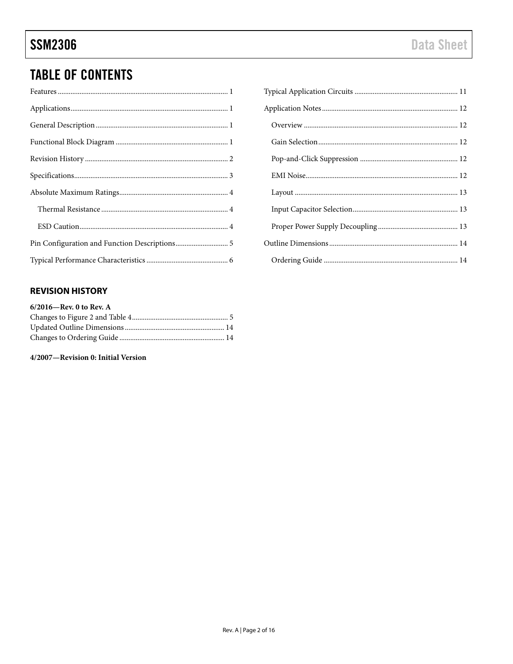## **TABLE OF CONTENTS**

## <span id="page-1-0"></span>**REVISION HISTORY**

| 6/2016-Rev. 0 to Rev. A |  |
|-------------------------|--|
|                         |  |
|                         |  |
|                         |  |

## 4/2007-Revision 0: Initial Version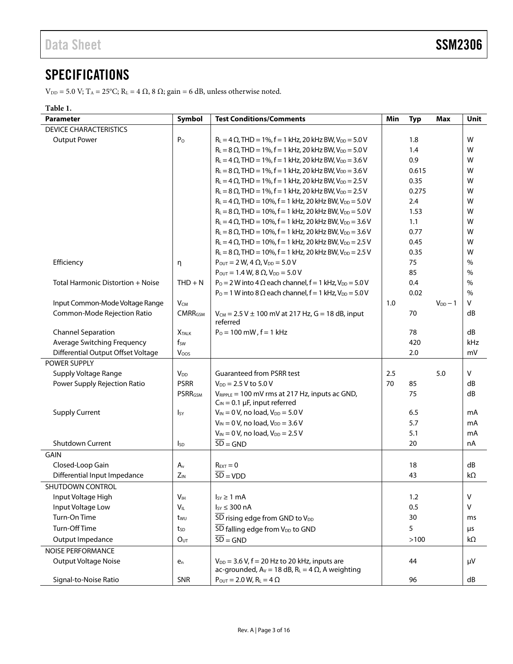## <span id="page-2-0"></span>**SPECIFICATIONS**

 $V_{DD} = 5.0$  V;  $T_A = 25^{\circ}\text{C}$ ;  $R_L = 4 \Omega$ ,  $8 \Omega$ ; gain = 6 dB, unless otherwise noted.

### **Table 1.**

| <b>Parameter</b>                   | Symbol                    | <b>Test Conditions/Comments</b>                                                                                 | Min | <b>Typ</b> | <b>Max</b>   | Unit          |
|------------------------------------|---------------------------|-----------------------------------------------------------------------------------------------------------------|-----|------------|--------------|---------------|
| <b>DEVICE CHARACTERISTICS</b>      |                           |                                                                                                                 |     |            |              |               |
| <b>Output Power</b>                | P <sub>O</sub>            | $R_L = 4 \Omega$ , THD = 1%, f = 1 kHz, 20 kHz BW, $V_{DD} = 5.0 V$                                             |     | 1.8        |              | W             |
|                                    |                           | $R_L = 8 \Omega$ , THD = 1%, f = 1 kHz, 20 kHz BW, V <sub>DD</sub> = 5.0 V                                      |     | 1.4        |              | W             |
|                                    |                           | $R_L = 4 \Omega$ , THD = 1%, f = 1 kHz, 20 kHz BW, V <sub>DD</sub> = 3.6 V                                      |     | 0.9        |              | W             |
|                                    |                           | $R_L = 8 \Omega$ , THD = 1%, f = 1 kHz, 20 kHz BW, V <sub>DD</sub> = 3.6 V                                      |     | 0.615      |              | W             |
|                                    |                           | $R_L = 4 \Omega$ , THD = 1%, f = 1 kHz, 20 kHz BW, V <sub>DD</sub> = 2.5 V                                      |     | 0.35       |              | W             |
|                                    |                           | $R_L = 8 \Omega$ , THD = 1%, f = 1 kHz, 20 kHz BW, V <sub>DD</sub> = 2.5 V                                      |     | 0.275      |              | W             |
|                                    |                           | $R_L = 4 \Omega$ , THD = 10%, f = 1 kHz, 20 kHz BW, V <sub>DD</sub> = 5.0 V                                     |     | 2.4        |              | W             |
|                                    |                           | $R_L = 8 \Omega$ , THD = 10%, f = 1 kHz, 20 kHz BW, $V_{DD} = 5.0 V$                                            |     | 1.53       |              | W             |
|                                    |                           | $R_L = 4 \Omega$ , THD = 10%, f = 1 kHz, 20 kHz BW, V <sub>DD</sub> = 3.6 V                                     |     | 1.1        |              | W             |
|                                    |                           | $R_L = 8 \Omega$ , THD = 10%, f = 1 kHz, 20 kHz BW, $V_{DD} = 3.6 V$                                            |     | 0.77       |              | W             |
|                                    |                           | $R_L = 4 \Omega$ , THD = 10%, f = 1 kHz, 20 kHz BW, V <sub>DD</sub> = 2.5 V                                     |     | 0.45       |              | W             |
|                                    |                           | $R_L = 8 \Omega$ , THD = 10%, f = 1 kHz, 20 kHz BW, V <sub>DD</sub> = 2.5 V                                     |     | 0.35       |              | W             |
| Efficiency                         | η                         | $P_{\text{OUT}} = 2 W$ , 4 $\Omega$ , $V_{\text{DD}} = 5.0 V$                                                   |     | 75         |              | $\%$          |
|                                    |                           | $P_{OUT} = 1.4 W, 8 \Omega, V_{DD} = 5.0 V$                                                                     |     | 85         |              | $\frac{0}{0}$ |
| Total Harmonic Distortion + Noise  | $THD + N$                 | $P_0 = 2 W$ into 4 $\Omega$ each channel, $f = 1$ kHz, $V_{DD} = 5.0 V$                                         |     | 0.4        |              | $\%$          |
|                                    |                           | $P_0 = 1$ W into 8 $\Omega$ each channel, $f = 1$ kHz, $V_{DD} = 5.0$ V                                         |     | 0.02       |              | $\%$          |
| Input Common-Mode Voltage Range    | $V_{CM}$                  |                                                                                                                 | 1.0 |            | $V_{DD} - 1$ | v             |
| Common-Mode Rejection Ratio        | <b>CMRR<sub>GSM</sub></b> | $V_{CM} = 2.5 V \pm 100$ mV at 217 Hz, G = 18 dB, input<br>referred                                             |     | 70         |              | dB            |
| <b>Channel Separation</b>          | <b>X</b> TALK             | $P_0 = 100$ mW, $f = 1$ kHz                                                                                     |     | 78         |              | dB            |
| Average Switching Frequency        | $f_{SW}$                  |                                                                                                                 |     | 420        |              | kHz           |
| Differential Output Offset Voltage | Voos                      |                                                                                                                 |     | 2.0        |              | mV            |
| <b>POWER SUPPLY</b>                |                           |                                                                                                                 |     |            |              |               |
| Supply Voltage Range               | <b>V<sub>DD</sub></b>     | <b>Guaranteed from PSRR test</b>                                                                                | 2.5 |            | 5.0          | V             |
| Power Supply Rejection Ratio       | <b>PSRR</b>               | $V_{DD} = 2.5 V$ to 5.0 V                                                                                       | 70  | 85         |              | dB            |
|                                    | <b>PSRRGSM</b>            | $V_{RIPPLE}$ = 100 mV rms at 217 Hz, inputs ac GND,<br>$C_{IN} = 0.1 \mu F$ , input referred                    |     | 75         |              | dB            |
| <b>Supply Current</b>              | <b>I</b> sy               | $V_{IN} = 0 V$ , no load, $V_{DD} = 5.0 V$                                                                      |     | 6.5        |              | mA            |
|                                    |                           | $V_{IN} = 0 V$ , no load, $V_{DD} = 3.6 V$                                                                      |     | 5.7        |              | mA            |
|                                    |                           | $V_{IN} = 0 V$ , no load, $V_{DD} = 2.5 V$                                                                      |     | 5.1        |              | mA            |
| <b>Shutdown Current</b>            | <sub>sp</sub>             | $\overline{SD} = \overline{GND}$                                                                                |     | 20         |              | nA            |
| GAIN                               |                           |                                                                                                                 |     |            |              |               |
| Closed-Loop Gain                   | $A_v$                     | $R_{\text{EXT}}=0$                                                                                              |     | 18         |              | dB            |
| Differential Input Impedance       | $Z_{IN}$                  | $\overline{SD}$ = VDD                                                                                           |     | 43         |              | $k\Omega$     |
| <b>SHUTDOWN CONTROL</b>            |                           |                                                                                                                 |     |            |              |               |
| Input Voltage High                 | V <sub>IH</sub>           | $I_{SY} \geq 1$ mA                                                                                              |     | 1.2        |              | V             |
| Input Voltage Low                  | $V_{IL}$                  | $I_{SY} \leq 300$ nA                                                                                            |     | 0.5        |              | $\vee$        |
| Turn-On Time                       | twu                       | $\overline{\text{SD}}$ rising edge from GND to $V_{\text{DD}}$                                                  |     | 30         |              | ms            |
| Turn-Off Time                      | tsp                       | $\overline{\text{SD}}$ falling edge from $V_{DD}$ to GND                                                        |     | 5          |              | $\mu$ s       |
| Output Impedance                   | O <sub>UT</sub>           | $\overline{SD} = \overline{GND}$                                                                                |     | >100       |              | kΩ            |
| <b>NOISE PERFORMANCE</b>           |                           |                                                                                                                 |     |            |              |               |
| <b>Output Voltage Noise</b>        | $e_n$                     | $V_{DD}$ = 3.6 V, f = 20 Hz to 20 kHz, inputs are<br>ac-grounded, $A_V = 18$ dB, $R_L = 4 \Omega$ , A weighting |     | 44         |              | μV            |
| Signal-to-Noise Ratio              | <b>SNR</b>                | $P_{\text{OUT}} = 2.0 \text{ W}, R_{\text{L}} = 4 \Omega$                                                       |     | 96         |              | dB            |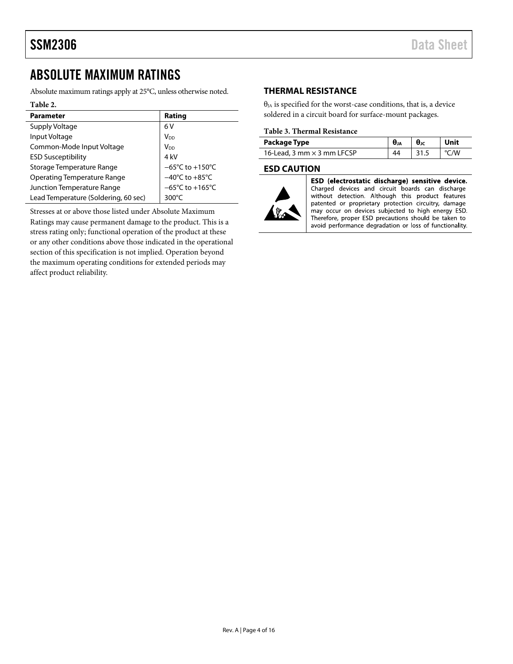## <span id="page-3-0"></span>ABSOLUTE MAXIMUM RATINGS

Absolute maximum ratings apply at 25°C, unless otherwise noted.

#### **Table 2.**

| <b>Parameter</b>                     | Rating                               |
|--------------------------------------|--------------------------------------|
| Supply Voltage                       | 6V                                   |
| Input Voltage                        | V <sub>DD</sub>                      |
| Common-Mode Input Voltage            | V <sub>DD</sub>                      |
| <b>ESD Susceptibility</b>            | 4 kV                                 |
| Storage Temperature Range            | $-65^{\circ}$ C to +150 $^{\circ}$ C |
| <b>Operating Temperature Range</b>   | $-40^{\circ}$ C to $+85^{\circ}$ C   |
| Junction Temperature Range           | $-65^{\circ}$ C to +165 $^{\circ}$ C |
| Lead Temperature (Soldering, 60 sec) | 300 $\degree$ C                      |

Stresses at or above those listed under Absolute Maximum Ratings may cause permanent damage to the product. This is a stress rating only; functional operation of the product at these or any other conditions above those indicated in the operational section of this specification is not implied. Operation beyond the maximum operating conditions for extended periods may affect product reliability.

### <span id="page-3-1"></span>**THERMAL RESISTANCE**

 $\theta_{JA}$  is specified for the worst-case conditions, that is, a device soldered in a circuit board for surface-mount packages.

#### **Table 3. Thermal Resistance**

| Package Type                      | $\theta_{JA}$ | $\theta$ JC | Unit |
|-----------------------------------|---------------|-------------|------|
| 16-Lead, 3 mm $\times$ 3 mm LFCSP |               | 31.5        | /W   |

#### <span id="page-3-2"></span>**ESD CAUTION**



ESD (electrostatic discharge) sensitive device. Charged devices and circuit boards can discharge without detection. Although this product features patented or proprietary protection circuitry, damage may occur on devices subjected to high energy ESD. Therefore, proper ESD precautions should be taken to avoid performance degradation or loss of functionality.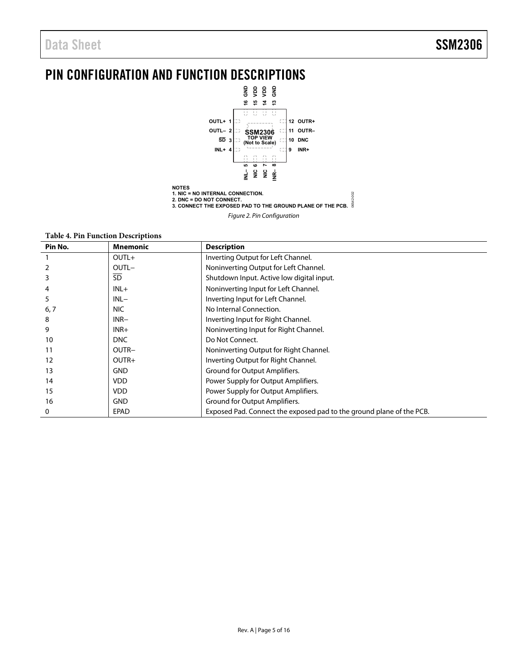## <span id="page-4-0"></span>PIN CONFIGURATION AND FUNCTION DESCRIPTIONS



**Table 4. Pin Function Descriptions** 

| Pin No. | <b>Mnemonic</b> | <b>Description</b>                                                   |
|---------|-----------------|----------------------------------------------------------------------|
|         | $OUTL+$         | Inverting Output for Left Channel.                                   |
|         | OUTL-           | Noninverting Output for Left Channel.                                |
| 3       | <b>SD</b>       | Shutdown Input. Active low digital input.                            |
| 4       | $INL+$          | Noninverting Input for Left Channel.                                 |
| 5       | $INL-$          | Inverting Input for Left Channel.                                    |
| 6, 7    | <b>NIC</b>      | No Internal Connection.                                              |
| 8       | $INR-$          | Inverting Input for Right Channel.                                   |
| 9       | $INR+$          | Noninverting Input for Right Channel.                                |
| 10      | <b>DNC</b>      | Do Not Connect.                                                      |
| 11      | OUTR-           | Noninverting Output for Right Channel.                               |
| 12      | OUTR+           | Inverting Output for Right Channel.                                  |
| 13      | <b>GND</b>      | Ground for Output Amplifiers.                                        |
| 14      | <b>VDD</b>      | Power Supply for Output Amplifiers.                                  |
| 15      | <b>VDD</b>      | Power Supply for Output Amplifiers.                                  |
| 16      | <b>GND</b>      | Ground for Output Amplifiers.                                        |
| 0       | <b>EPAD</b>     | Exposed Pad. Connect the exposed pad to the ground plane of the PCB. |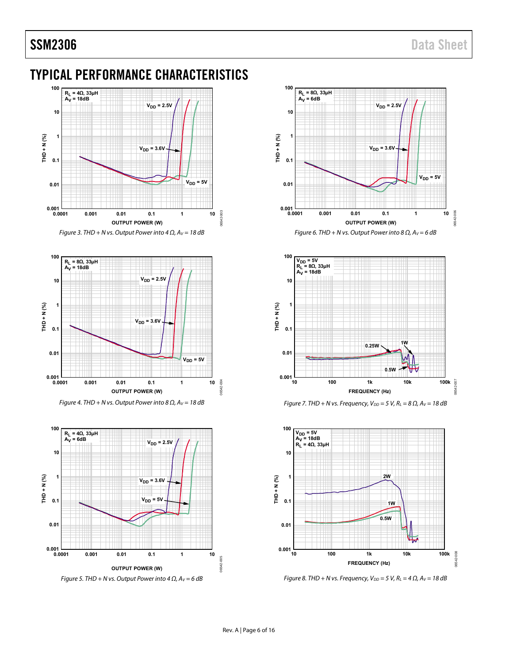## <span id="page-5-0"></span>TYPICAL PERFORMANCE CHARACTERISTICS





Figure 4. THD + N vs. Output Power into 8  $\Omega$ ,  $Av = 18$  dB











Figure 8. THD + N vs. Frequency,  $V_{DD} = 5$  V,  $R_L = 4 \Omega$ ,  $A_V = 18$  dB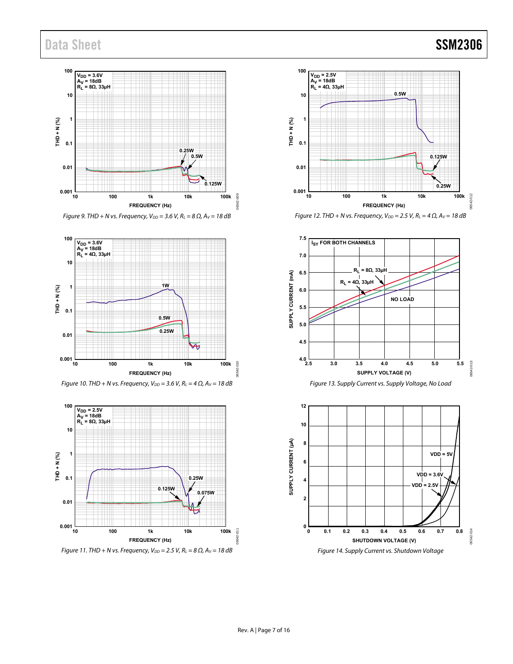## Data Sheet SSM2306



Figure 9. THD + N vs. Frequency,  $V_{DD} = 3.6$  V,  $R_L = 8 \Omega$ ,  $A_V = 18$  dB







Figure 11. THD + N vs. Frequency,  $V_{DD} = 2.5$  V,  $R_L = 8 \Omega$ ,  $A_V = 18 \text{ dB}$ 



Figure 12. THD + N vs. Frequency,  $V_{DD} = 2.5$  V,  $R_L = 4 \Omega$ ,  $A_V = 18$  dB



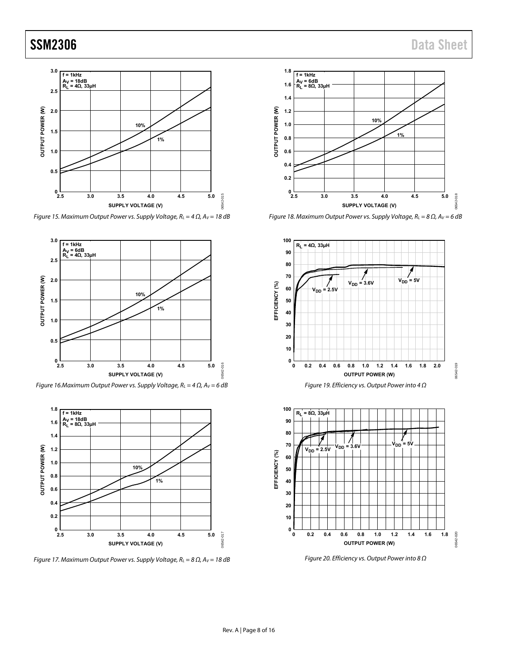

Figure 15. Maximum Output Power vs. Supply Voltage,  $R_L = 4 \Omega$ ,  $Av = 18$  dB



Figure 16. Maximum Output Power vs. Supply Voltage,  $R_L = 4 \Omega$ ,  $A_V = 6 dB$ 



Figure 17. Maximum Output Power vs. Supply Voltage,  $R_L = 8 \Omega$ ,  $Av = 18 dB$ 



Figure 18. Maximum Output Power vs. Supply Voltage,  $R_L = 8 \Omega$ ,  $A_V = 6 \text{ dB}$ 



Figure 20. Efficiency vs. Output Power into 8  $\Omega$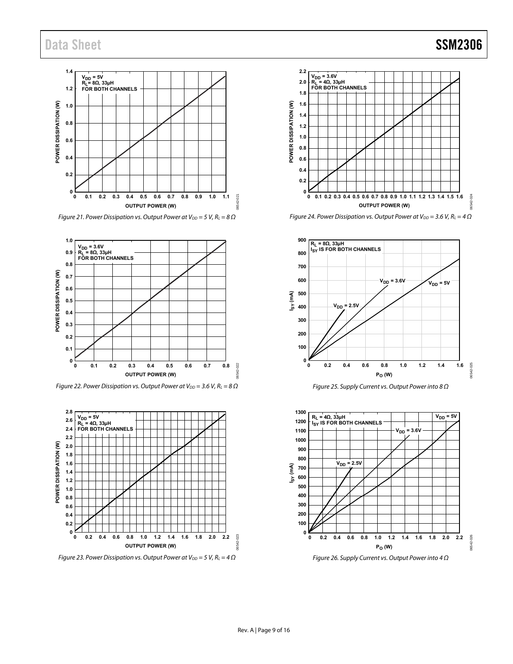## Data Sheet SSM2306



Figure 21. Power Dissipation vs. Output Power at  $V_{DD} = 5 V$ ,  $R_L = 8 \Omega$ 



Figure 22. Power Dissipation vs. Output Power at  $V_{DD} = 3.6$  V,  $R_L = 8 \Omega$ 



Figure 23. Power Dissipation vs. Output Power at  $V_{DD} = 5 V$ ,  $R_L = 4 \Omega$ 





**1.2 1.4 1.6 1.8 2.0 2.2**

Figure 24. Power Dissipation vs. Output Power at  $V_{DD} = 3.6$  V,  $R_L = 4 \Omega$ 





Figure 26. Supply Current vs. Output Power into 4 Ω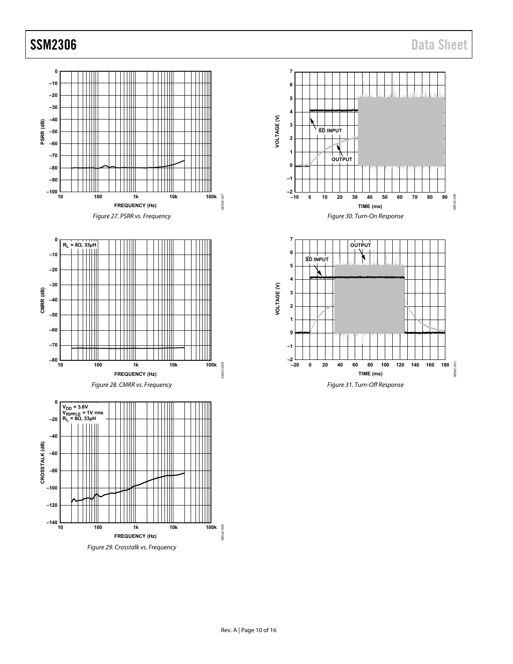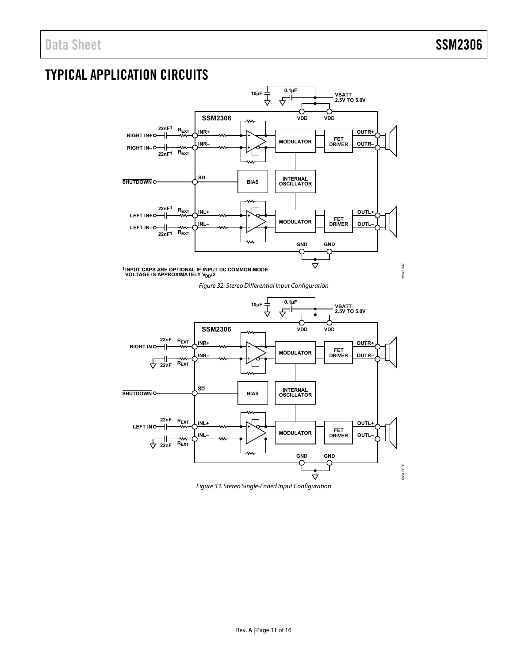## <span id="page-10-0"></span>TYPICAL APPLICATION CIRCUITS

<span id="page-10-1"></span>

<span id="page-10-2"></span>Figure 33. Stereo Single-Ended Input Configuration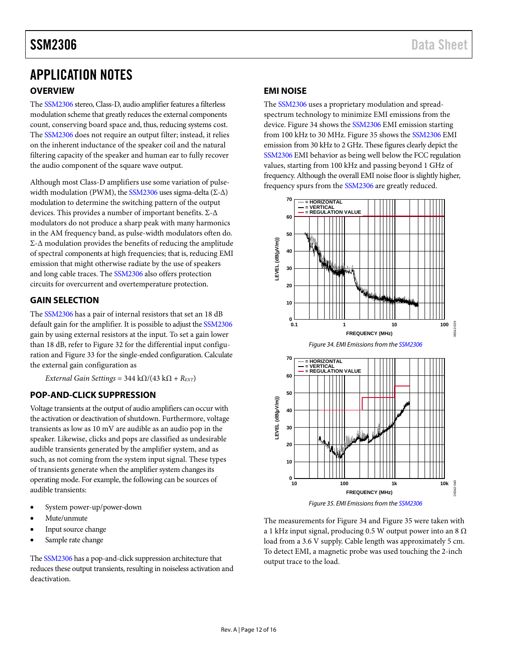# <span id="page-11-0"></span>APPLICATION NOTES

## <span id="page-11-1"></span>**OVERVIEW**

The [SSM2306](http://www.analog.com/ssm2306?doc=ssm2306.pdf) stereo, Class-D, audio amplifier features a filterless modulation scheme that greatly reduces the external components count, conserving board space and, thus, reducing systems cost. The [SSM2306](http://www.analog.com/ssm2306?doc=ssm2306.pdf) does not require an output filter; instead, it relies on the inherent inductance of the speaker coil and the natural filtering capacity of the speaker and human ear to fully recover the audio component of the square wave output.

Although most Class-D amplifiers use some variation of pulsewidth modulation (PWM), th[e SSM2306](http://www.analog.com/ssm2306?doc=ssm2306.pdf) uses sigma-delta (Σ- $\Delta$ ) modulation to determine the switching pattern of the output devices. This provides a number of important benefits. Σ-Δ modulators do not produce a sharp peak with many harmonics in the AM frequency band, as pulse-width modulators often do. Σ-Δ modulation provides the benefits of reducing the amplitude of spectral components at high frequencies; that is, reducing EMI emission that might otherwise radiate by the use of speakers and long cable traces. Th[e SSM2306](http://www.analog.com/ssm2306?doc=ssm2306.pdf) also offers protection circuits for overcurrent and overtemperature protection.

## <span id="page-11-2"></span>**GAIN SELECTION**

The [SSM2306](http://www.analog.com/ssm2306?doc=ssm2306.pdf) has a pair of internal resistors that set an 18 dB default gain for the amplifier. It is possible to adjust th[e SSM2306](http://www.analog.com/ssm2306?doc=ssm2306.pdf) gain by using external resistors at the input. To set a gain lower than 18 dB, refer to [Figure 32](#page-10-1) for the differential input configuration an[d Figure 33](#page-10-2) for the single-ended configuration. Calculate the external gain configuration as

*External Gain Settings* =  $344 \text{ k}\Omega/(43 \text{ k}\Omega + R_{\text{EXT}})$ 

## <span id="page-11-3"></span>**POP-AND-CLICK SUPPRESSION**

Voltage transients at the output of audio amplifiers can occur with the activation or deactivation of shutdown. Furthermore, voltage transients as low as 10 mV are audible as an audio pop in the speaker. Likewise, clicks and pops are classified as undesirable audible transients generated by the amplifier system, and as such, as not coming from the system input signal. These types of transients generate when the amplifier system changes its operating mode. For example, the following can be sources of audible transients:

- System power-up/power-down
- Mute/unmute
- Input source change
- Sample rate change

Th[e SSM2306](http://www.analog.com/ssm2306?doc=ssm2306.pdf) has a pop-and-click suppression architecture that reduces these output transients, resulting in noiseless activation and deactivation.

## <span id="page-11-4"></span>**EMI NOISE**

The [SSM2306](http://www.analog.com/ssm2306?doc=ssm2306.pdf) uses a proprietary modulation and spreadspectrum technology to minimize EMI emissions from the device[. Figure 34](#page-11-5) shows th[e SSM2306](http://www.analog.com/ssm2306?doc=ssm2306.pdf) EMI emission starting from 100 kHz to 30 MHz. [Figure 35](#page-11-6) shows the [SSM2306](http://www.analog.com/ssm2306?doc=ssm2306.pdf) EMI emission from 30 kHz to 2 GHz. These figures clearly depict the [SSM2306](http://www.analog.com/ssm2306?doc=ssm2306.pdf) EMI behavior as being well below the FCC regulation values, starting from 100 kHz and passing beyond 1 GHz of frequency. Although the overall EMI noise floor is slightly higher, frequency spurs from th[e SSM2306](http://www.analog.com/ssm2306?doc=ssm2306.pdf) are greatly reduced.

<span id="page-11-5"></span>

*Figure 35. EMI Emissions from th[e SSM2306](http://www.analog.com/ssm2306?doc=ssm2306.pdf)*

<span id="page-11-6"></span>The measurements fo[r Figure 34](#page-11-5) an[d Figure 35](#page-11-6) were taken with a 1 kHz input signal, producing 0.5 W output power into an 8  $\Omega$ load from a 3.6 V supply. Cable length was approximately 5 cm. To detect EMI, a magnetic probe was used touching the 2-inch output trace to the load.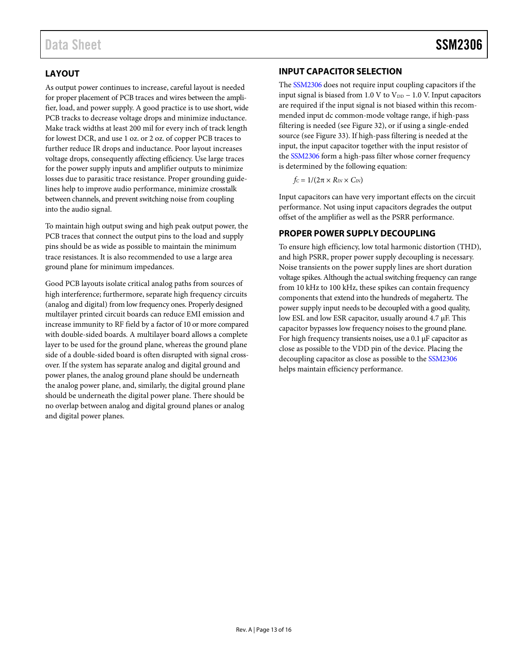## <span id="page-12-0"></span>**LAYOUT**

As output power continues to increase, careful layout is needed for proper placement of PCB traces and wires between the amplifier, load, and power supply. A good practice is to use short, wide PCB tracks to decrease voltage drops and minimize inductance. Make track widths at least 200 mil for every inch of track length for lowest DCR, and use 1 oz. or 2 oz. of copper PCB traces to further reduce IR drops and inductance. Poor layout increases voltage drops, consequently affecting efficiency. Use large traces for the power supply inputs and amplifier outputs to minimize losses due to parasitic trace resistance. Proper grounding guidelines help to improve audio performance, minimize crosstalk between channels, and prevent switching noise from coupling into the audio signal.

To maintain high output swing and high peak output power, the PCB traces that connect the output pins to the load and supply pins should be as wide as possible to maintain the minimum trace resistances. It is also recommended to use a large area ground plane for minimum impedances.

Good PCB layouts isolate critical analog paths from sources of high interference; furthermore, separate high frequency circuits (analog and digital) from low frequency ones. Properly designed multilayer printed circuit boards can reduce EMI emission and increase immunity to RF field by a factor of 10 or more compared with double-sided boards. A multilayer board allows a complete layer to be used for the ground plane, whereas the ground plane side of a double-sided board is often disrupted with signal crossover. If the system has separate analog and digital ground and power planes, the analog ground plane should be underneath the analog power plane, and, similarly, the digital ground plane should be underneath the digital power plane. There should be no overlap between analog and digital ground planes or analog and digital power planes.

## <span id="page-12-1"></span>**INPUT CAPACITOR SELECTION**

The [SSM2306](http://www.analog.com/ssm2306?doc=ssm2306.pdf) does not require input coupling capacitors if the input signal is biased from 1.0 V to  $V_{DD}$  – 1.0 V. Input capacitors are required if the input signal is not biased within this recommended input dc common-mode voltage range, if high-pass filtering is needed (se[e Figure 32\)](#page-10-1), or if using a single-ended source (see [Figure 33\)](#page-10-2). If high-pass filtering is needed at the input, the input capacitor together with the input resistor of the [SSM2306](http://www.analog.com/ssm2306?doc=ssm2306.pdf) form a high-pass filter whose corner frequency is determined by the following equation:

$$
f_C = 1/(2\pi \times R_{IN} \times C_{IN})
$$

Input capacitors can have very important effects on the circuit performance. Not using input capacitors degrades the output offset of the amplifier as well as the PSRR performance.

## <span id="page-12-2"></span>**PROPER POWER SUPPLY DECOUPLING**

To ensure high efficiency, low total harmonic distortion (THD), and high PSRR, proper power supply decoupling is necessary. Noise transients on the power supply lines are short duration voltage spikes. Although the actual switching frequency can range from 10 kHz to 100 kHz, these spikes can contain frequency components that extend into the hundreds of megahertz. The power supply input needs to be decoupled with a good quality, low ESL and low ESR capacitor, usually around 4.7 µF. This capacitor bypasses low frequency noises to the ground plane. For high frequency transients noises, use a 0.1 µF capacitor as close as possible to the VDD pin of the device. Placing the decoupling capacitor as close as possible to th[e SSM2306](http://www.analog.com/ssm2306?doc=ssm2306.pdf) helps maintain efficiency performance.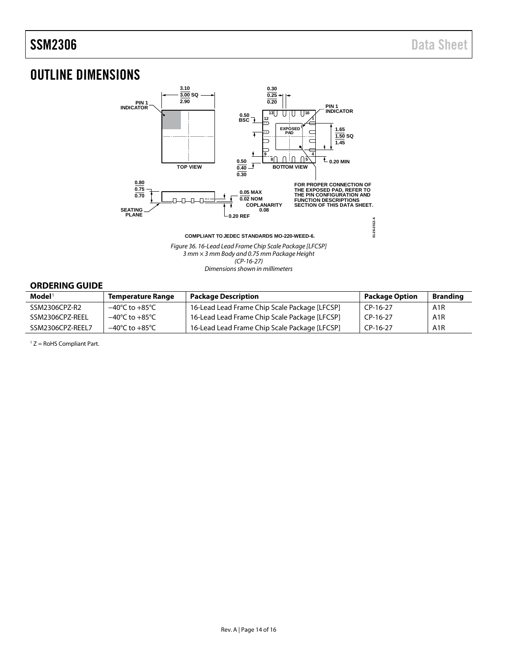## <span id="page-13-0"></span>OUTLINE DIMENSIONS



*(CP-16-27)*

#### *Dimensions shown in millimeters*

### <span id="page-13-1"></span>**ORDERING GUIDE**

| $\mathbf{Model}^1$ | <b>Temperature Range</b>           | <b>Package Description</b>                    | <b>Package Option</b> | <b>Branding</b>  |
|--------------------|------------------------------------|-----------------------------------------------|-----------------------|------------------|
| SSM2306CPZ-R2      | $-40^{\circ}$ C to $+85^{\circ}$ C | 16-Lead Lead Frame Chip Scale Package [LFCSP] | CP-16-27              | A <sub>1</sub> R |
| SSM2306CPZ-REEL    | $-40^{\circ}$ C to $+85^{\circ}$ C | 16-Lead Lead Frame Chip Scale Package [LFCSP] | CP-16-27              | A <sub>1</sub> R |
| SSM2306CPZ-REEL7   | $-40^{\circ}$ C to $+85^{\circ}$ C | 16-Lead Lead Frame Chip Scale Package [LFCSP] | CP-16-27              | A <sub>1</sub> R |

<sup>1</sup> Z = RoHS Compliant Part.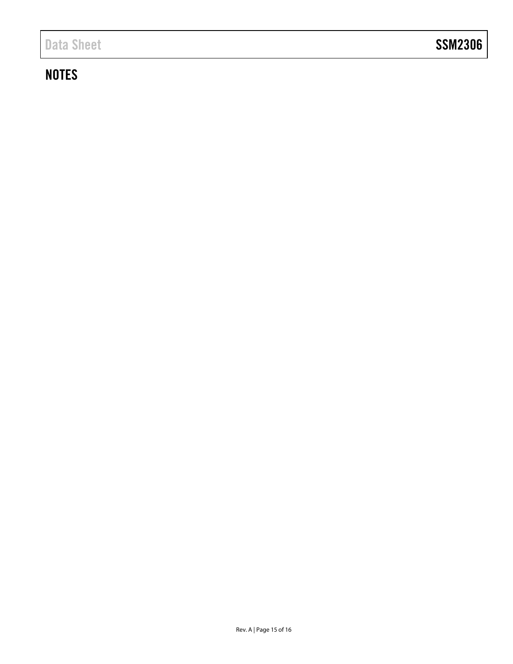## **NOTES**